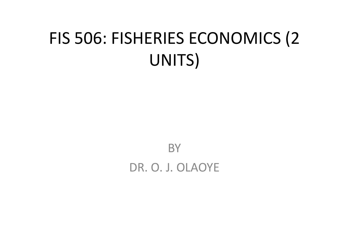# FIS 506: FISHERIES ECONOMICS (2 UNITS)

**BY** DR. O. J. OLAOYE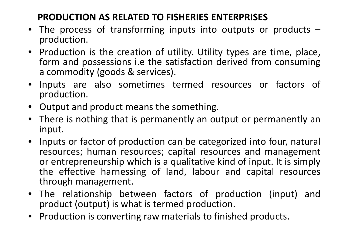## **PRODUCTION AS RELATED TO FISHERIES ENTERPRISES**

- The process of transforming inputs into outputs or products –<br>production.
- Production is the creation of utility. Utility types are time, place, form and possessions i.e the satisfaction derived from consuming<br>a commodity (goods & services) <sup>a</sup> commodity (goods & services).
- • Inputs are also sometimes termed resources or factors of production.
- •Output and product means the something.
- $\bullet$ • There is nothing that is permanently an output or permanently an input.
- • Inputs or factor of production can be categorized into four, natural resources; human resources; capital resources and management or entrepreneurship which is <sup>a</sup> qualitative kind of input. It is simply the effective harnessing of land, labour and capital resources through management.
- The relationship between factors of production (input) andproduct (output) is what is termed production.
- Production is converting raw materials to finished products.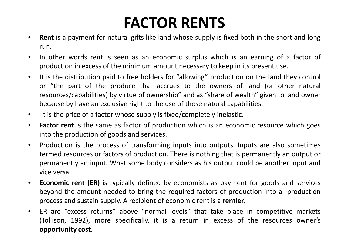# **FACTOR RENTS**

- **Rent** is <sup>a</sup> payment for natural gifts like land whose supply is fixed both in the short and long  $\bullet$ run.
- • In other words rent is seen as an economic surplus which is an earning of <sup>a</sup> factor of production in excess of the minimum amount necessary to keep in its present use.
- $\bullet$  It is the distribution paid to free holders for "allowing" production on the land they control or "the part of the produce that accrues to the owners of land (or other natural resources/capabilities) by virtue of ownership" and as "share of wealth" given to land owner because by have an exclusive right to the use of those natural capabilities.
- $\bullet$ It is the price of <sup>a</sup> factor whose supply is fixed/completely inelastic.
- $\bullet$  **Factor rent** is the same as factor of production which is an economic resource which goes into the production of goods and services.
- $\bullet$  Production is the process of transforming inputs into outputs. Inputs are also sometimes termed resources or factors of production. There is nothing that is permanently an output or permanently an input. What some body considers as his output could be another input andvice versa.
- $\bullet$  **Economic rent (ER)** is typically defined by economists as payment for goods and services beyond the amount needed to bring the required factors of production into <sup>a</sup> productionprocess and sustain supply. <sup>A</sup> recipient of economic rent is <sup>a</sup> **rentier.**
- $\bullet$  ER are "excess returns" above "normal levels" that take place in competitive markets (Tollison, 1992), more specifically, it is <sup>a</sup> return in excess of the resources owner's **opportunity cost**.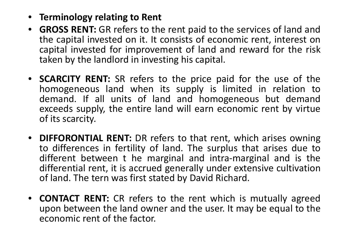- **Terminology relating to Rent**
- $\bullet$ **GROSS RENT:** GR refers to the rent paid to the services of land and the capital invested on it. It consists of economic rent, interest on capital invested for improvement of land and reward for the risk taken by the landlord in investing his capital.
- **SCARCITY RENT:** SR refers to the price paid for the use of the homogeneous land when its supply is limited in relation to demand. If all units of land and homogeneous but demandexceeds supply, the entire land will earn economic rent by virtue of its scarcity.
- $\bullet$ **DIFFORONTIAL RENT:** DR refers to that rent, which arises owning to differences in fertility of land. The surplus that arises due todifferent between t he marginal and intra-marginal and is the differential rent, it is accrued generally under extensive cultivationof land. The tern was first stated by David Richard.
- $\bullet$  **CONTACT RENT:** CR refers to the rent which is mutually agreed upon between the land owner and the user. It may be equal to the economic rent of the factor.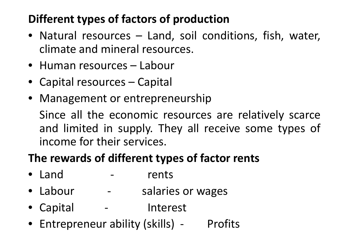## **Different types of factors of production**

- Natural resources Land, soil conditions, fish, water, climate and mineral resources.
- Human resources Labour
- Capital resources Capital
- Management or entrepreneurship

Since all the economic resources are relatively scarce and limited in supply. They all receive some types of income for their services.

### **The rewards of different types of factor rents**

- Land rents
- Labour - salaries or wages
- Capital Interest
- Entrepreneur ability (skills) Profits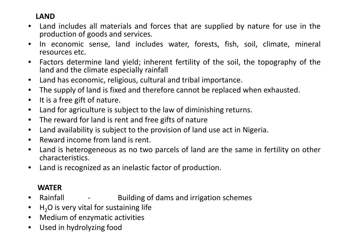#### **LAND**

- Land includes all materials and forces that are supplied by nature for use in the •production of goods and services.
- • In economic sense, land includes water, forests, fish, soil, climate, mineral resources etc.
- $\bullet$  Factors determine land yield; inherent fertility of the soil, the topography of the land and the climate especially rainfall
- $\bullet$ Land has economic, religious, cultural and tribal importance.
- $\bullet$ The supply of land is fixed and therefore cannot be replaced when exhausted.
- $\bullet$ It is <sup>a</sup> free gift of nature.
- $\bullet$ Land for agriculture is subject to the law of diminishing returns.
- $\bullet$ • The reward for land is rent and free gifts of nature
- $\bullet$ Land availability is subject to the provision of land use act in Nigeria.
- $\bullet$ Reward income from land is rent.
- •• Land is heterogeneous as no two parcels of land are the same in fertility on other characteristics.
- $\bullet$ Land is recognized as an inelastic factor of production.

#### **WATER**

- Rainfall  $\bullet$ Building of dams and irrigation schemes
- $\bullet$  $H<sub>2</sub>O$  is very vital for sustaining life
- $\bullet$ Medium of enzymatic activities
- $\bullet$ Used in hydrolyzing food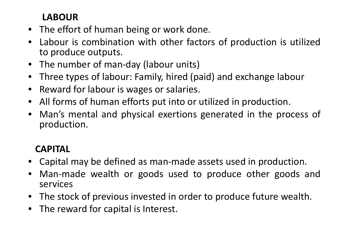#### **LABOUR**

- The effort of human being or work done.
- $\bullet$  Labour is combination with other factors of production is utilizedto produce outputs.
- •The number of man-day (labour units)
- $\bullet$ Three types of labour: Family, hired (paid) and exchange labour
- $\bullet$ Reward for labour is wages or salaries.
- $\bullet$ All forms of human efforts put into or utilized in production.
- $\bullet$  Man's mental and physical exertions generated in the process of production.

### **CAPITAL**

- Capital may be defined as man-made assets used in production. •
- $\bullet$  Man-made wealth or goods used to produce other goods andservices
- $\bullet$ The stock of previous invested in order to produce future wealth.
- •The reward for capital is Interest.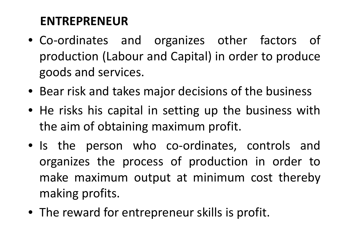### **ENTREPRENEUR**

- Co-ordinates and organizes other factors of production (Labour and Capital) in order to produce goods and services.
- Bear risk and takes major decisions of the business
- He risks his capital in setting up the business with the aim of obtaining maximum profit.
- Is the person who co-ordinates, controls and organizes the process of production in order tomake maximum output at minimum cost thereby<br>realing profits making profits.
- The reward for entrepreneur skills is profit.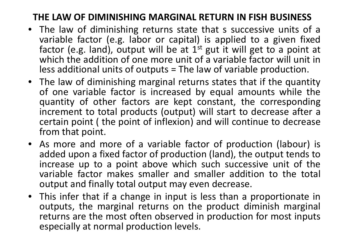# **THE LAW OF DIMINISHING MARGINAL RETURN IN FISH BUSINESS**

- The law of diminishing returns state that s successive units of a<br>variable factor (e.g. labor or capital) is applied to a given fixed variable factor (e.g. labor or capital) is applied to a given fixed factor (e.g. land), output will be at  $1<sup>st</sup>$  gut it will get to a point at which the addition of one more unit of <sup>a</sup> variable factor will unit inless additional units of outputs = The law of variable production.<br>The law state is the control of the control of the state of the control of the control of the control of the co
- The law of diminishing marginal returns states that if the quantity<br>of one variable factor is increased by equal amounts while the of one variable factor is increased by equal amounts while the quantity of other factors are kept constant, the corresponding increment to total products (output) will start to decrease after <sup>a</sup> certain point ( the point of inflexion) and will continue to decrease from that point.<br>As mare and m
- As more and more of a variable factor of production (labour) is added upon <sup>a</sup> fixed factor of production (land), the output tends toincrease up to a point above which such successive unit of the variable factor makes smaller and smaller addition to the total output and finally total output may even decrease.
- This infer that if <sup>a</sup> change in input is less than <sup>a</sup> proportionate in outputs, the marginal returns on the product diminish marginal returns are the most often observed in production for most inputs especially at normal production levels.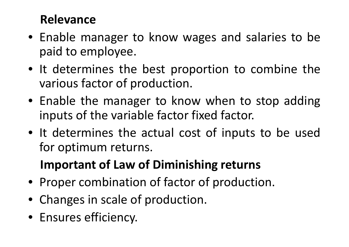### **Relevance**

- Enable manager to know wages and salaries to be paid to employee.
- It determines the best proportion to combine the various factor of production.
- Enable the manager to know when to stop adding<br>inpute of the veriable factor fixed factor inputs of the variable factor fixed factor.
- It determines the actual cost of inputs to be used for optimum returns.

# **Important of Law of Diminishing returns**

- Proper combination of factor of production.
- Changes in scale of production.
- Ensures efficiency.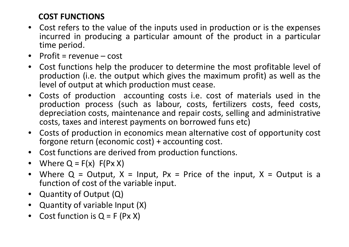### **COST FUNCTIONS**

- • Cost refers to the value of the inputs used in production or is the expenses incurred in producing <sup>a</sup> particular amount of the product in <sup>a</sup> particular time period.
- Profit <sup>=</sup> revenue cost
- $\bullet$  Cost functions help the producer to determine the most profitable level of production (i.e. the output which gives the maximum profit) as well as the<br>level of output at which production must cease level of output at which production must cease.
- $\bullet$ • Costs of production accounting costs i.e. cost of materials used in the production process (such as labour, costs, fertilizers costs, feed costs, depreciation costs, maintenance and repair costs, selling and administrative costs, taxes and interest payments on borrowed funs etc)
- $\bullet$  Costs of production in economics mean alternative cost of opportunity cost forgone return (economic cost) <sup>+</sup> accounting cost.
- $\bullet$ Cost functions are derived from production functions.<br>• Where O – 5(x), 5(Dx X)
- Where  $Q = F(x) F(Px)$
- $\bullet$ Where  $Q = Output$ ,  $X = Input$ ,  $Px = Price$  of the input,  $X = Output$  is a function of cost of the variable input.
- $\bullet$ Quantity of Output (Q)
- $\bullet$ Quantity of variable Input (X)
- •Cost function is  $Q = F (Px X)$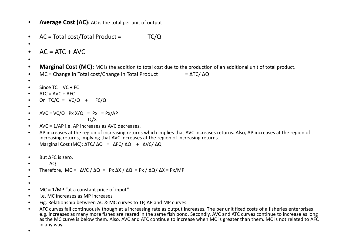•**Average Cost (AC):** AC is the total per unit of output

```
•AC = Total cost/Total Product = TC/Q
```

```
•AC = ATC + AVC
```
•

•

- •**Marginal Cost (MC):** MC is the addition to total cost due to the production of an additional unit of total product.
- • $MC =$ Change in Total cost/Change in Total Product =  $\triangle$ TC/ $\triangle$ Q
- •

```
•Since TC = VC + FC
```
- • $ATC = AVC + AFC$
- Or TC/ $Q = VC/Q + FC/Q$ •
- •
- • $AVC = VC/Q$   $Px = YQ = Px = Px/AP$
- • $Q/X$
- AVC = 1/AP i.e. AP increases as AVC decreases. •
- • AP increases at the region of increasing returns which implies that AVC increases returns. Also, AP increases at the region of increasing returns, implying that AVC increases at the region of increasing returns.
- •Marginal Cost (MC): ∆TC/ ∆Q = ∆FC/ ∆Q + ∆VC/ ∆Q
- •But ∆FC is zero,
- •∆Q

```

Therefore, MC = ∆VC / ∆Q = Px ∆X / ∆Q = Px / ∆Q/ ∆X = Px/MP•
```
- •
- •
- •MC = 1/MP "at a constant price of input"
- •i.e. MC increases as MP increases
- Fig. Relationship between AC & MC curves to TP, AP and MP curves. •
- • AFC curves fall continuously though at a increasing rate as output increases. The per unit fixed costs of a fisheries enterprises e.g. increases as many more fishes are reared in the same fish pond. Secondly, AVC and ATC curves continue to increase as long as the MC curve is below them. Also, AVC and ATC continue to increase when MC is greater than them. MC is not related to AFC in any way.

•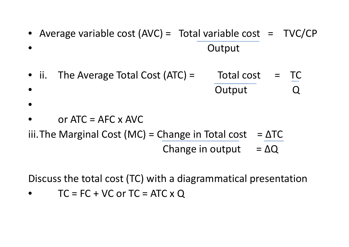- •Average variable cost  $(AVC) = Total variable cost = TVC/CP$ •**Output**
- ii. The Average Total Cost  $(ATC) =$  Total cost = TC •• Constitution of the Couplet Constitution of the Couplet Couplet Couplet Couplet Couplet Couplet Couplet Couplet Couplet Couplet Couplet Couplet Couplet Couplet Couplet Couplet Couplet Couplet Couplet Couplet Couplet Coup
- •
- •or  $ATC = AFC \times AVC$
- iii.The Marginal Cost (MC) = Change in Total cost =  $\Delta TC$ Change in output =  $\Delta Q$

Discuss the total cost (TC) with a diagrammatical presentation

 $\bullet$  $TC = FC + VC$  or  $TC = ATC \times Q$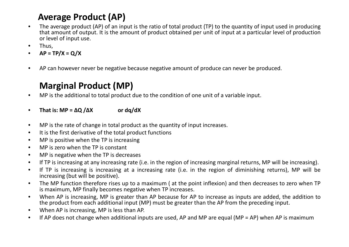### **Average Product (AP)**

- • The average product (AP) of an input is the ratio of total product (TP) to the quantity of input used in producing that amount of output. It is the amount of product obtained per unit of input at <sup>a</sup> particular level of productionor level of input use.
- •Thus,
- •**AP <sup>=</sup> TP/X <sup>=</sup> Q/X**
- •AP can however never be negative because negative amount of produce can never be produced.

#### **Marginal Product (MP)**

- $\bullet$ MP is the additional to total product due to the condition of one unit of <sup>a</sup> variable input.
- • $\mathbf{M} = \mathbf{\Delta} \mathbf{Q} / \mathbf{\Delta} \mathbf{X}$  **or dq/dX**
- $\bullet$  $\bullet$  MP is the rate of change in total product as the quantity of input increases.
- $\bullet$ It is the first derivative of the total product functions
- •MP is positive when the TP is increasing
- •MP is zero when the TP is constant
- •MP is negative when the TP is decreases
- $\bullet$ If TP is increasing at any increasing rate (i.e. in the region of increasing marginal returns, MP will be increasing).
- • If TP is increasing is increasing at <sup>a</sup> increasing rate (i.e. in the region of diminishing returns), MP will be increasing (but will be positive).
- $\bullet$  The MP function therefore rises up to <sup>a</sup> maximum ( at the point inflexion) and then decreases to zero when TPis maximum, MP finally becomes negative when TP increases.
- • When AP is increasing, MP is greater than AP because for AP to increase as inputs are added, the addition tothe product from each additional input (MP) must be greater than the AP from the preceding input.
- $\bullet$ When AP is increasing, MP is less than AP.
- $\bullet$ If AP does not change when additional inputs are used, AP and MP are equal (MP <sup>=</sup> AP) when AP is maximum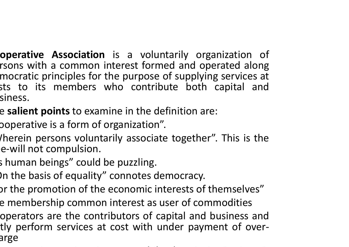- **Operative Association** is a voluntarily organization of rsons with a common interest formed and operated along mocratic principles for the purpose of supplying services at sts to its members who contribute both capital and siness.
- The **salient points** to examine in the definition are:
- ooperative is a form of organization".<br>'harein nexeans uslunterily associate
- /herein persons voluntarily associate together". This is the e-will not compulsion.
- s human beings" could be puzzling.
	- )n the basis of equality" connotes democracy.  $\,$
- $\,$  or the promotion of the economic interests of themselves $''$
- e membership common interest as user of commodities
- operators are the contributors of capital and business and tly perform services at cost with under payment of over-<br>arge arge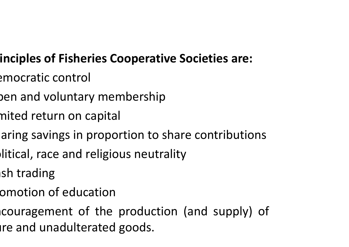# **Principles of Fisheries Cooperative Societies are:**

- emocratic control
- oen and voluntary membership
- nited return on capital
- aring savings in proportion to share contributions
- $\rho$ litical, race and religious neutrality
- $\mathsf{sh}$  trading
- omotion of education
- couragement of the production (and supply) of ire and unadulterated goods.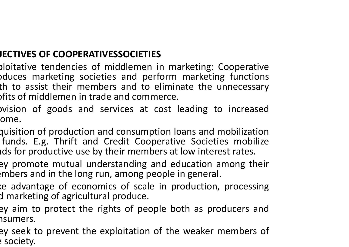### **OBJECTIVES OF COOPERATIVESSOCIETIES**

- Exploitative tendencies of middlemen in marketing: Cooperative pduces marketing societies and perform marketing functions<br>th to assist their members and to eliminate the unnecessary th to assist their members and to eliminate the unnecessary  $\delta$  profits of middlemen in trade and commerce.
- prision of goods and services at cost leading to increased ome.
- quisition of production and consumption loans and mobilization funds. E.g. Thrift and Credit Cooperative Societies mobilize ids for productive use by their members at low interest rates.<br>ان
- ey promote mutual understanding and education among their  $\bm{\epsilon}$ mbers and in the long run, among people in general.
- e advantage of economics of scale in production, processing d marketing of agricultural produce.
- ey aim to protect the rights of people both as producers and<br>nsumers sumers.
- ey seek to prevent the exploitation of the weaker members of e society.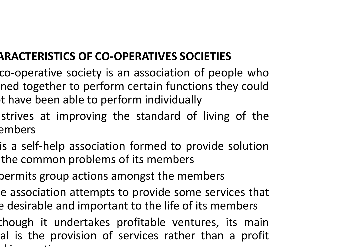## **CHARACTERISTICS OF CO-OPERATIVES SOCIETIES**

- co-operative society is an association of people whoned together to perform certain functions they could<br>they hoon able to perform individually t have been able to perform individually<br>interchange in the contract of
	- strives at improving the standard of living of the embers
	- is <sup>a</sup> self-help association formed to provide solutionthe common problems of its members
	- permits group actions amongst the members
- e association attempts to provide some services that e desirable and important to the life of its members
- though it undertakes profitable ventures, its main al is the provision of services rather than a profit makingmotive. The contract of the contract of the contract of the contract of the contract of the contract of the contract of the contract of the contract of the contract of the contract of the contract of the contract of the co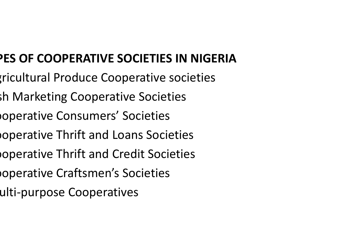# **TYPES OF COOPERATIVE SOCIETIES IN NIGERIA**

- ricultural Produce Cooperative societies
- sh Marketing Cooperative Societies
- noperative Consumers' Societies
- **operative Thrift and Loans Societies**
- noperative Thrift and Credit Societies
- noperative Craftsmen's Societies
	- ulti-purpose Cooperatives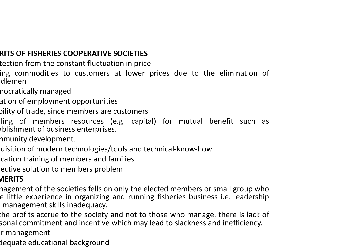#### **MERITS OF FISHERIES COOPERATIVE SOCIETIES**

- tection from the constant fluctuation in price
- ing commodities to customers at lower prices due to the elimination of ldlemen
- nocratically managed
- ation of employment opportunities
- oility of trade, since members are customers
- ling of members resources (e.g. capital) for mutual benefit such as<br>shlishmeartef business entermises ablishment of business enterprises.
- nmunity development.
- uisition of modern technologies/tools and technical-know-how
- cation training of members and families
- ective solution to members problem

#### **DEMERITS**

- nagement of the societies fells on only the elected members or small group who e little experience in organizing and running fisheries business i.e. leadership management skills inadequacy.
- the profits accrue to the society and not to those who manage, there is lack of sonal commitment and incentive which may lead to slackness and inefficiency.  $\,$
- $\mathsf{P}$ r management
- dequate educational background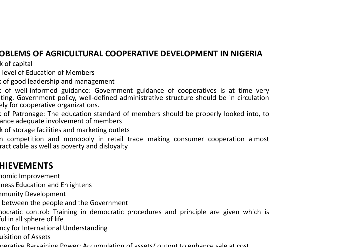### **PROBLEMS OF AGRICULTURAL COOPERATIVE DEVELOPMENT IN NIGERIA**

k of capital

level of Education of Members

Lackof good leadership and management

Lack of well-informed guidance: Government guidance of cooperatives is at time very ting. Government policy, well-defined administrative structure should be in circulation ely for cooperative organizations.

Lack of Patronage: The education standard of members should be properly looked into, toance adequate involvement of members

k of storage facilities and marketing outlets

n competition and monopoly in retail trade making consumer cooperation almost racticable as well as poverty and disloyalty

#### **HIEVEMENTS**

nomic Improvement

ness Education and Enlightens

nmunity Developmen<mark>t</mark>

between the people and the Government

nocratic control: Training in democratic procedures and principle are given which is ful in all sphere of life

ncy for International Understanding

uisition of Assets

Cooperative Bargaining Power: Accumulation of assets/ output to enhance sale at cost.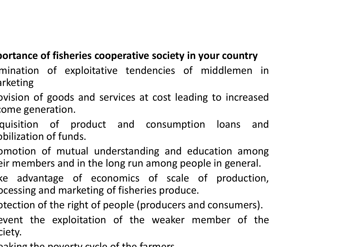### **Importance of fisheries cooperative society in your country**

- mination of exploitative tendencies of middlemen in arketing
- pvision of goods and services at cost leading to increased  $\mathop{\rm cone}$  generation.
- quisition of product and consumption loans and pbilization of funds.
- pmotion of mutual understanding and education among  $\operatorname{\sf eir}$  members and in the long run among people in general.
- ke advantage of economics of scale of production, pcessing and marketing of fisheries produce.
- ptection of the right of people (producers and consumers).
- event the exploitation of the weaker member of the ciety.
- apking the poverty cycle of the farmers.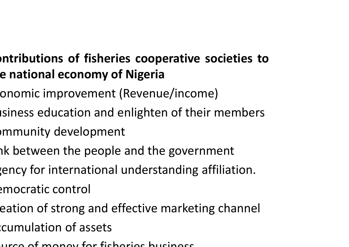# **ontributions of fisheries cooperative societies tothe national economy of Nigeria**

- onomic improvement (Revenue/income)
- isiness education and enlighten of their members
- $\bm{\mathsf{p}}$ mmunity development
- $n$ k between the people and the government
- $\mathbf g$ ency for international understanding affiliation.
- emocratic control
- eation of strong and effective marketing channel
- ${\rm c}$ cumulation of assets
- Source of money for fisheries business.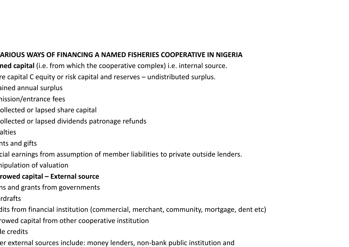#### **THE VARIOUS WAYS OF FINANCING A NAMED FISHERIES COOPERATIVE IN NIGERIA**

- **ned capital** (i.e. from which the cooperative complex) i.e. internal source.
- re capital C equity or risk capital and reserves  $-$  undistributed surplus.
	- ained annual surplus
	- hission/entrance fees
	- ollected or lapsed share capital
	- ollected or lapsed dividends patronage refunds
	- alties
	- nts and gifts
	- cial earnings from assumption of member liabilities to private outside lenders.
	- nipulation of valuation
	- **Borrowed capital – External source**
	- ns and grants from governments
	- rdrafts
	- dits from financial institution (commercial, merchant, community, mortgage, dent etc)
	- rowed capital from other cooperative institution
	- le credits
	- er external sources include: money lenders, non-bank public institution and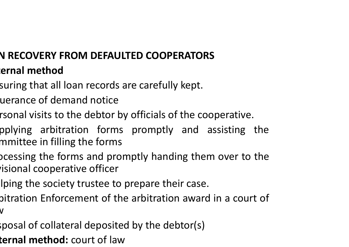### **LOAN RECOVERY FROM DEFAULTED COOPERATORS Internal method**

- suring that all loan records are carefully kept.
- uerance of demand notice
- rsonal visits to the debtor by officials of the cooperative.
- pplying arbitration forms promptly and assisting the mmittee in filling the forms
- pcessing the forms and promptly handing them over to the<br>isional cooperative officer isional cooperative officer
- Iping the society trustee to prepare their case.
- bitration Enforcement of the arbitration award in a court of  $\overline{\mathsf{V}}$
- $\epsilon$ posal of collateral deposited by the debtor(s)
- **ternal method:** court of law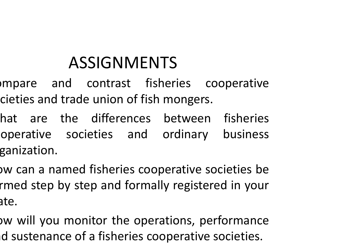# ASSIGNMENTS

- mpare and contrast fisheries cooperative cieties and trade union of fish mongers.
- hat are the differences between fisheries operative societies and ordinary business ganization.
- ow can a named fisheries cooperative societies be rmed step by step and formally registered in your ate.
- ow will you monitor the operations, performance  $\mathsf{id}$  sustenance of a fisheries cooperative societies.